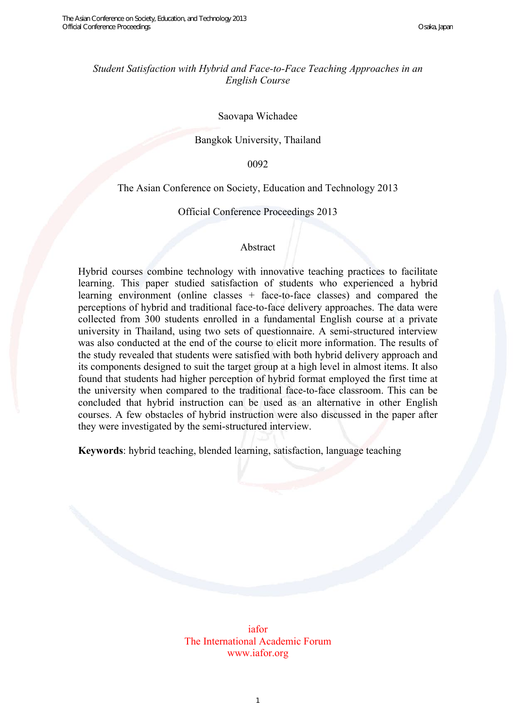# *Student Satisfaction with Hybrid and Face-to-Face Teaching Approaches in an English Course*

#### Saovapa Wichadee

## Bangkok University, Thailand

0092

### The Asian Conference on Society, Education and Technology 2013

#### Official Conference Proceedings 2013

#### Abstract

Hybrid courses combine technology with innovative teaching practices to facilitate learning. This paper studied satisfaction of students who experienced a hybrid learning environment (online classes + face-to-face classes) and compared the perceptions of hybrid and traditional face-to-face delivery approaches. The data were collected from 300 students enrolled in a fundamental English course at a private university in Thailand, using two sets of questionnaire. A semi-structured interview was also conducted at the end of the course to elicit more information. The results of the study revealed that students were satisfied with both hybrid delivery approach and its components designed to suit the target group at a high level in almost items. It also found that students had higher perception of hybrid format employed the first time at the university when compared to the traditional face-to-face classroom. This can be concluded that hybrid instruction can be used as an alternative in other English courses. A few obstacles of hybrid instruction were also discussed in the paper after they were investigated by the semi-structured interview.

**Keywords**: hybrid teaching, blended learning, satisfaction, language teaching

iafor The International Academic Forum www.iafor.org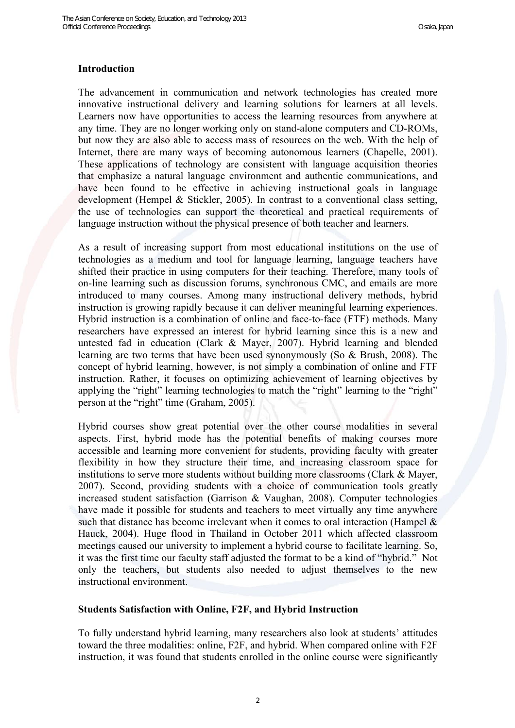#### **Introduction**

The advancement in communication and network technologies has created more innovative instructional delivery and learning solutions for learners at all levels. Learners now have opportunities to access the learning resources from anywhere at any time. They are no longer working only on stand-alone computers and CD-ROMs, but now they are also able to access mass of resources on the web. With the help of Internet, there are many ways of becoming autonomous learners (Chapelle, 2001). These applications of technology are consistent with language acquisition theories that emphasize a natural language environment and authentic communications, and have been found to be effective in achieving instructional goals in language development (Hempel & Stickler, 2005). In contrast to a conventional class setting, the use of technologies can support the theoretical and practical requirements of language instruction without the physical presence of both teacher and learners.

As a result of increasing support from most educational institutions on the use of technologies as a medium and tool for language learning, language teachers have shifted their practice in using computers for their teaching. Therefore, many tools of on-line learning such as discussion forums, synchronous CMC, and emails are more introduced to many courses. Among many instructional delivery methods, hybrid instruction is growing rapidly because it can deliver meaningful learning experiences. Hybrid instruction is a combination of online and face-to-face (FTF) methods. Many researchers have expressed an interest for hybrid learning since this is a new and untested fad in education (Clark & Mayer, 2007). Hybrid learning and blended learning are two terms that have been used synonymously (So & Brush, 2008). The concept of hybrid learning, however, is not simply a combination of online and FTF instruction. Rather, it focuses on optimizing achievement of learning objectives by applying the "right" learning technologies to match the "right" learning to the "right" person at the "right" time (Graham, 2005).

Hybrid courses show great potential over the other course modalities in several aspects. First, hybrid mode has the potential benefits of making courses more accessible and learning more convenient for students, providing faculty with greater flexibility in how they structure their time, and increasing classroom space for institutions to serve more students without building more classrooms (Clark & Mayer, 2007). Second, providing students with a choice of communication tools greatly increased student satisfaction (Garrison & Vaughan, 2008). Computer technologies have made it possible for students and teachers to meet virtually any time anywhere such that distance has become irrelevant when it comes to oral interaction (Hampel  $\&$ Hauck, 2004). Huge flood in Thailand in October 2011 which affected classroom meetings caused our university to implement a hybrid course to facilitate learning. So, it was the first time our faculty staff adjusted the format to be a kind of "hybrid." Not only the teachers, but students also needed to adjust themselves to the new instructional environment.

#### **Students Satisfaction with Online, F2F, and Hybrid Instruction**

To fully understand hybrid learning, many researchers also look at students' attitudes toward the three modalities: online, F2F, and hybrid. When compared online with F2F instruction, it was found that students enrolled in the online course were significantly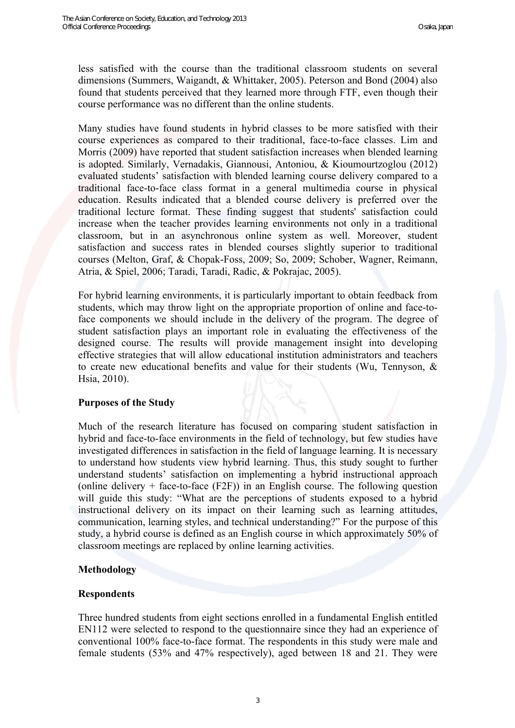less satisfied with the course than the traditional classroom students on several dimensions (Summers, Waigandt, & Whittaker, 2005). Peterson and Bond (2004) also found that students perceived that they learned more through FTF, even though their course performance was no different than the online students.

Many studies have found students in hybrid classes to be more satisfied with their course experiences as compared to their traditional, face-to-face classes. Lim and Morris (2009) have reported that student satisfaction increases when blended learning is adopted. Similarly, Vernadakis, Giannousi, Antoniou, & Kioumourtzoglou (2012) evaluated students' satisfaction with blended learning course delivery compared to a traditional face-to-face class format in a general multimedia course in physical education. Results indicated that a blended course delivery is preferred over the traditional lecture format. These finding suggest that students' satisfaction could increase when the teacher provides learning environments not only in a traditional classroom, but in an asynchronous online system as well. Moreover, student satisfaction and success rates in blended courses slightly superior to traditional courses (Melton, Graf, & Chopak-Foss, 2009; So, 2009; Schober, Wagner, Reimann, Atria, & Spiel, 2006; Taradi, Taradi, Radic, & Pokrajac, 2005).

For hybrid learning environments, it is particularly important to obtain feedback from students, which may throw light on the appropriate proportion of online and face-toface components we should include in the delivery of the program. The degree of student satisfaction plays an important role in evaluating the effectiveness of the designed course. The results will provide management insight into developing effective strategies that will allow educational institution administrators and teachers to create new educational benefits and value for their students (Wu, Tennyson, & Hsia, 2010).

#### **Purposes of the Study**

Much of the research literature has focused on comparing student satisfaction in hybrid and face-to-face environments in the field of technology, but few studies have investigated differences in satisfaction in the field of language learning. It is necessary to understand how students view hybrid learning. Thus, this study sought to further understand students' satisfaction on implementing a hybrid instructional approach (online delivery  $+$  face-to-face (F2F)) in an English course. The following question will guide this study: "What are the perceptions of students exposed to a hybrid instructional delivery on its impact on their learning such as learning attitudes, communication, learning styles, and technical understanding?" For the purpose of this study, a hybrid course is defined as an English course in which approximately 50% of classroom meetings are replaced by online learning activities.

#### **Methodology**

#### **Respondents**

Three hundred students from eight sections enrolled in a fundamental English entitled EN112 were selected to respond to the questionnaire since they had an experience of conventional 100% face-to-face format. The respondents in this study were male and female students (53% and 47% respectively), aged between 18 and 21. They were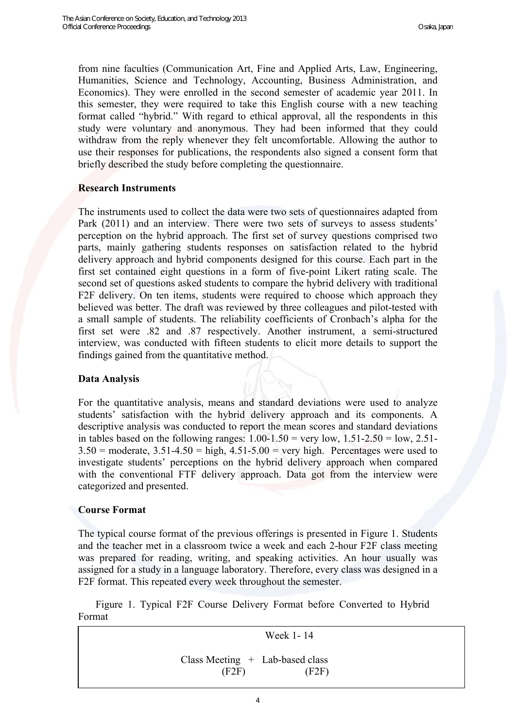from nine faculties (Communication Art, Fine and Applied Arts, Law, Engineering, Humanities, Science and Technology, Accounting, Business Administration, and Economics). They were enrolled in the second semester of academic year 2011. In this semester, they were required to take this English course with a new teaching format called "hybrid." With regard to ethical approval, all the respondents in this study were voluntary and anonymous. They had been informed that they could withdraw from the reply whenever they felt uncomfortable. Allowing the author to use their responses for publications, the respondents also signed a consent form that briefly described the study before completing the questionnaire.

# **Research Instruments**

The instruments used to collect the data were two sets of questionnaires adapted from Park (2011) and an interview. There were two sets of surveys to assess students' perception on the hybrid approach. The first set of survey questions comprised two parts, mainly gathering students responses on satisfaction related to the hybrid delivery approach and hybrid components designed for this course. Each part in the first set contained eight questions in a form of five-point Likert rating scale. The second set of questions asked students to compare the hybrid delivery with traditional F2F delivery. On ten items, students were required to choose which approach they believed was better. The draft was reviewed by three colleagues and pilot-tested with a small sample of students. The reliability coefficients of Cronbach's alpha for the first set were .82 and .87 respectively. Another instrument, a semi-structured interview, was conducted with fifteen students to elicit more details to support the findings gained from the quantitative method.

#### **Data Analysis**

For the quantitative analysis, means and standard deviations were used to analyze students' satisfaction with the hybrid delivery approach and its components. A descriptive analysis was conducted to report the mean scores and standard deviations in tables based on the following ranges:  $1.00-1.50$  = very low,  $1.51-2.50$  = low,  $2.51 3.50$  = moderate,  $3.51 - 4.50$  = high,  $4.51 - 5.00$  = very high. Percentages were used to investigate students' perceptions on the hybrid delivery approach when compared with the conventional FTF delivery approach. Data got from the interview were categorized and presented.

# **Course Format**

 $\overline{\phantom{a}}$ 

The typical course format of the previous offerings is presented in Figure 1. Students and the teacher met in a classroom twice a week and each 2-hour F2F class meeting was prepared for reading, writing, and speaking activities. An hour usually was assigned for a study in a language laboratory. Therefore, every class was designed in a F2F format. This repeated every week throughout the semester.

 Figure 1. Typical F2F Course Delivery Format before Converted to Hybrid Format

Week 1- 14

 Class Meeting + Lab-based class  $(F2F)$   $(F2F)$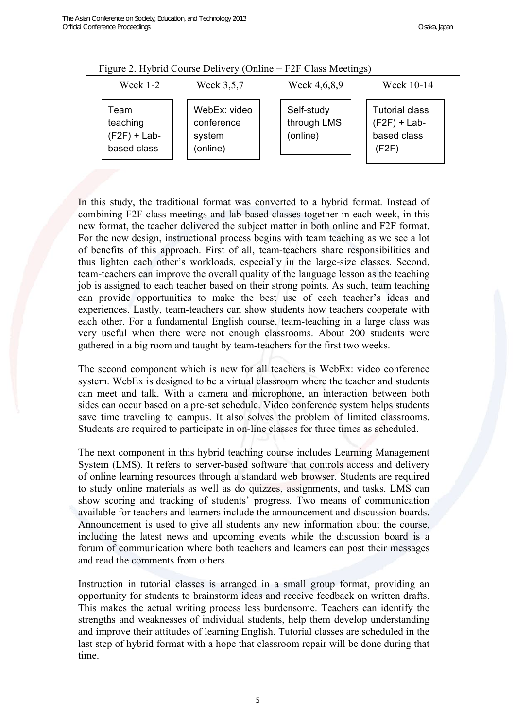| $1.15$ and $2.11$ , $0.16$ componed with $\frac{1}{2}$ $0.11$ and $1.21$ chase the cultiple,<br>Week $1-2$ | Week 3,5,7                                       | Week 4,6,8,9                          | Week 10-14                                                      |
|------------------------------------------------------------------------------------------------------------|--------------------------------------------------|---------------------------------------|-----------------------------------------------------------------|
| Team<br>teaching<br>$(F2F) + Lab-$<br>based class                                                          | WebEx: video<br>conference<br>system<br>(online) | Self-study<br>through LMS<br>(online) | <b>Tutorial class</b><br>$(F2F) + Lab-$<br>based class<br>(F2F) |

Figure 2. Hybrid Course Delivery (Online + F2F Class Meetings)

In this study, the traditional format was converted to a hybrid format. Instead of combining F2F class meetings and lab-based classes together in each week, in this new format, the teacher delivered the subject matter in both online and F2F format. For the new design, instructional process begins with team teaching as we see a lot of benefits of this approach. First of all, team-teachers share responsibilities and thus lighten each other's workloads, especially in the large-size classes. Second, team-teachers can improve the overall quality of the language lesson as the teaching job is assigned to each teacher based on their strong points. As such, team teaching can provide opportunities to make the best use of each teacher's ideas and experiences. Lastly, team-teachers can show students how teachers cooperate with each other. For a fundamental English course, team-teaching in a large class was very useful when there were not enough classrooms. About 200 students were gathered in a big room and taught by team-teachers for the first two weeks.

The second component which is new for all teachers is WebEx: video conference system. WebEx is designed to be a virtual classroom where the teacher and students can meet and talk. With a camera and microphone, an interaction between both sides can occur based on a pre-set schedule. Video conference system helps students save time traveling to campus. It also solves the problem of limited classrooms. Students are required to participate in on-line classes for three times as scheduled.

The next component in this hybrid teaching course includes Learning Management System (LMS). It refers to server-based software that controls access and delivery of online learning resources through a standard web browser. Students are required to study online materials as well as do quizzes, assignments, and tasks. LMS can show scoring and tracking of students' progress. Two means of communication available for teachers and learners include the announcement and discussion boards. Announcement is used to give all students any new information about the course, including the latest news and upcoming events while the discussion board is a forum of communication where both teachers and learners can post their messages and read the comments from others.

Instruction in tutorial classes is arranged in a small group format, providing an opportunity for students to brainstorm ideas and receive feedback on written drafts. This makes the actual writing process less burdensome. Teachers can identify the strengths and weaknesses of individual students, help them develop understanding and improve their attitudes of learning English. Tutorial classes are scheduled in the last step of hybrid format with a hope that classroom repair will be done during that time.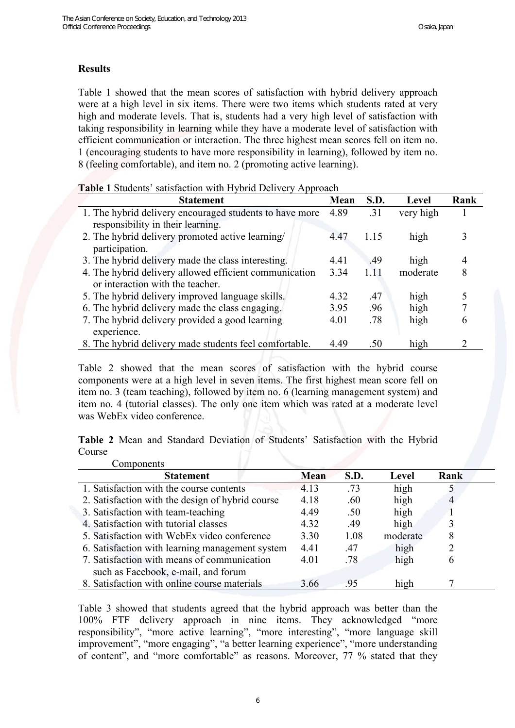# **Results**

Table 1 showed that the mean scores of satisfaction with hybrid delivery approach were at a high level in six items. There were two items which students rated at very high and moderate levels. That is, students had a very high level of satisfaction with taking responsibility in learning while they have a moderate level of satisfaction with efficient communication or interaction. The three highest mean scores fell on item no. 1 (encouraging students to have more responsibility in learning), followed by item no. 8 (feeling comfortable), and item no. 2 (promoting active learning).

|  |  | Table 1 Students' satisfaction with Hybrid Delivery Approach |  |  |  |  |
|--|--|--------------------------------------------------------------|--|--|--|--|
|--|--|--------------------------------------------------------------|--|--|--|--|

| <b>Statement</b>                                        | Mean | S.D.  | Level     | Rank |
|---------------------------------------------------------|------|-------|-----------|------|
| 1. The hybrid delivery encouraged students to have more | 4.89 | .31   | very high |      |
| responsibility in their learning.                       |      |       |           |      |
| 2. The hybrid delivery promoted active learning/        | 4.47 | 1 1 5 | high      |      |
| participation.                                          |      |       |           |      |
| 3. The hybrid delivery made the class interesting.      | 4.41 | .49   | high      |      |
| 4. The hybrid delivery allowed efficient communication  | 3.34 | 1.11  | moderate  | 8    |
| or interaction with the teacher.                        |      |       |           |      |
| 5. The hybrid delivery improved language skills.        | 4.32 | -47   | high      |      |
| 6. The hybrid delivery made the class engaging.         | 3.95 | .96   | high      |      |
| 7. The hybrid delivery provided a good learning         | 4.01 | .78   | high      |      |
| experience.                                             |      |       |           |      |
| 8. The hybrid delivery made students feel comfortable.  | 4.49 | -50   | high      |      |

Table 2 showed that the mean scores of satisfaction with the hybrid course components were at a high level in seven items. The first highest mean score fell on item no. 3 (team teaching), followed by item no. 6 (learning management system) and item no. 4 (tutorial classes). The only one item which was rated at a moderate level was WebEx video conference.

**Table 2** Mean and Standard Deviation of Students' Satisfaction with the Hybrid Course

| Components                                       |             |      |          |      |
|--------------------------------------------------|-------------|------|----------|------|
| <b>Statement</b>                                 | <b>Mean</b> | S.D. | Level    | Rank |
| 1. Satisfaction with the course contents         | 4.13        | .73  | high     |      |
| 2. Satisfaction with the design of hybrid course | 4.18        | .60  | high     | 4    |
| 3. Satisfaction with team-teaching               | 4.49        | .50  | high     |      |
| 4. Satisfaction with tutorial classes            | 4.32        | .49  | high     |      |
| 5. Satisfaction with WebEx video conference      | 3.30        | 1.08 | moderate |      |
| 6. Satisfaction with learning management system  | 4.41        | .47  | high     |      |
| 7. Satisfaction with means of communication      | 4.01        | .78  | high     | 6    |
| such as Facebook, e-mail, and forum              |             |      |          |      |
| 8. Satisfaction with online course materials     | 3.66        | 95   | high     |      |

Table 3 showed that students agreed that the hybrid approach was better than the 100% FTF delivery approach in nine items. They acknowledged "more responsibility", "more active learning", "more interesting", "more language skill improvement", "more engaging", "a better learning experience", "more understanding of content", and "more comfortable" as reasons. Moreover, 77 % stated that they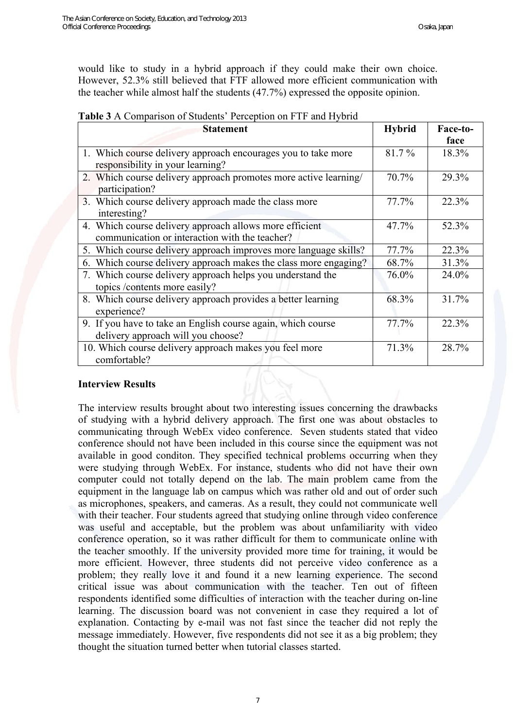would like to study in a hybrid approach if they could make their own choice. However, 52.3% still believed that FTF allowed more efficient communication with the teacher while almost half the students (47.7%) expressed the opposite opinion.

| <b>Table 3</b> A Comparison of Students' Perception on FTF and Hybrid |  |  |
|-----------------------------------------------------------------------|--|--|
|                                                                       |  |  |

| <b>Statement</b>                                                                                          | <b>Hybrid</b> | Face-to- |
|-----------------------------------------------------------------------------------------------------------|---------------|----------|
|                                                                                                           |               | face     |
| 1. Which course delivery approach encourages you to take more<br>responsibility in your learning?         | 81.7%         | 18.3%    |
| 2. Which course delivery approach promotes more active learning/<br>participation?                        | 70.7%         | 29.3%    |
| 3. Which course delivery approach made the class more<br>interesting?                                     | 77.7%         | 22.3%    |
| 4. Which course delivery approach allows more efficient<br>communication or interaction with the teacher? | 47.7%         | 52.3%    |
| 5. Which course delivery approach improves more language skills?                                          | 77.7%         | 22.3%    |
| Which course delivery approach makes the class more engaging?<br>6.                                       | 68.7%         | 31.3%    |
| 7. Which course delivery approach helps you understand the<br>topics /contents more easily?               | 76.0%         | 24.0%    |
| 8. Which course delivery approach provides a better learning<br>experience?                               | 68.3%         | 31.7%    |
| 9. If you have to take an English course again, which course<br>delivery approach will you choose?        | 77.7%         | 22.3%    |
| 10. Which course delivery approach makes you feel more<br>comfortable?                                    | 71.3%         | 28.7%    |

# **Interview Results**

The interview results brought about two interesting issues concerning the drawbacks of studying with a hybrid delivery approach. The first one was about obstacles to communicating through WebEx video conference. Seven students stated that video conference should not have been included in this course since the equipment was not available in good conditon. They specified technical problems occurring when they were studying through WebEx. For instance, students who did not have their own computer could not totally depend on the lab. The main problem came from the equipment in the language lab on campus which was rather old and out of order such as microphones, speakers, and cameras. As a result, they could not communicate well with their teacher. Four students agreed that studying online through video conference was useful and acceptable, but the problem was about unfamiliarity with video conference operation, so it was rather difficult for them to communicate online with the teacher smoothly. If the university provided more time for training, it would be more efficient. However, three students did not perceive video conference as a problem; they really love it and found it a new learning experience. The second critical issue was about communication with the teacher. Ten out of fifteen respondents identified some difficulties of interaction with the teacher during on-line learning. The discussion board was not convenient in case they required a lot of explanation. Contacting by e-mail was not fast since the teacher did not reply the message immediately. However, five respondents did not see it as a big problem; they thought the situation turned better when tutorial classes started.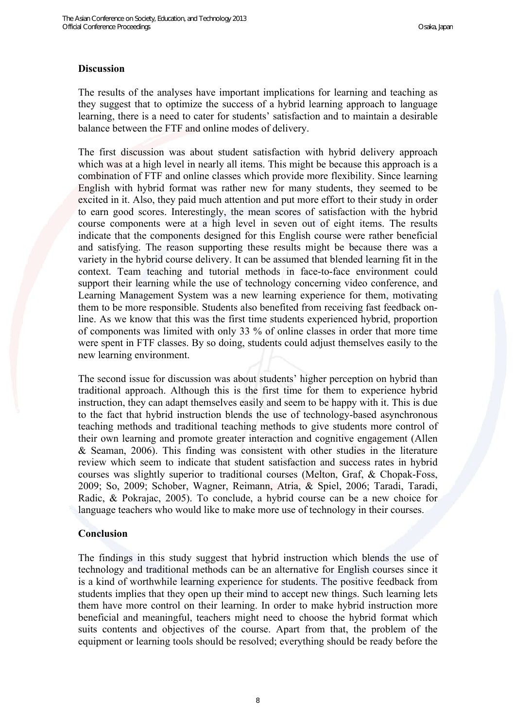## **Discussion**

The results of the analyses have important implications for learning and teaching as they suggest that to optimize the success of a hybrid learning approach to language learning, there is a need to cater for students' satisfaction and to maintain a desirable balance between the FTF and online modes of delivery.

The first discussion was about student satisfaction with hybrid delivery approach which was at a high level in nearly all items. This might be because this approach is a combination of FTF and online classes which provide more flexibility. Since learning English with hybrid format was rather new for many students, they seemed to be excited in it. Also, they paid much attention and put more effort to their study in order to earn good scores. Interestingly, the mean scores of satisfaction with the hybrid course components were at a high level in seven out of eight items. The results indicate that the components designed for this English course were rather beneficial and satisfying. The reason supporting these results might be because there was a variety in the hybrid course delivery. It can be assumed that blended learning fit in the context. Team teaching and tutorial methods in face-to-face environment could support their learning while the use of technology concerning video conference, and Learning Management System was a new learning experience for them, motivating them to be more responsible. Students also benefited from receiving fast feedback online. As we know that this was the first time students experienced hybrid, proportion of components was limited with only 33 % of online classes in order that more time were spent in FTF classes. By so doing, students could adjust themselves easily to the new learning environment.

The second issue for discussion was about students' higher perception on hybrid than traditional approach. Although this is the first time for them to experience hybrid instruction, they can adapt themselves easily and seem to be happy with it. This is due to the fact that hybrid instruction blends the use of technology-based asynchronous teaching methods and traditional teaching methods to give students more control of their own learning and promote greater interaction and cognitive engagement (Allen & Seaman, 2006). This finding was consistent with other studies in the literature review which seem to indicate that student satisfaction and success rates in hybrid courses was slightly superior to traditional courses (Melton, Graf, & Chopak-Foss, 2009; So, 2009; Schober, Wagner, Reimann, Atria, & Spiel, 2006; Taradi, Taradi, Radic, & Pokrajac, 2005). To conclude, a hybrid course can be a new choice for language teachers who would like to make more use of technology in their courses.

#### **Conclusion**

The findings in this study suggest that hybrid instruction which blends the use of technology and traditional methods can be an alternative for English courses since it is a kind of worthwhile learning experience for students. The positive feedback from students implies that they open up their mind to accept new things. Such learning lets them have more control on their learning. In order to make hybrid instruction more beneficial and meaningful, teachers might need to choose the hybrid format which suits contents and objectives of the course. Apart from that, the problem of the equipment or learning tools should be resolved; everything should be ready before the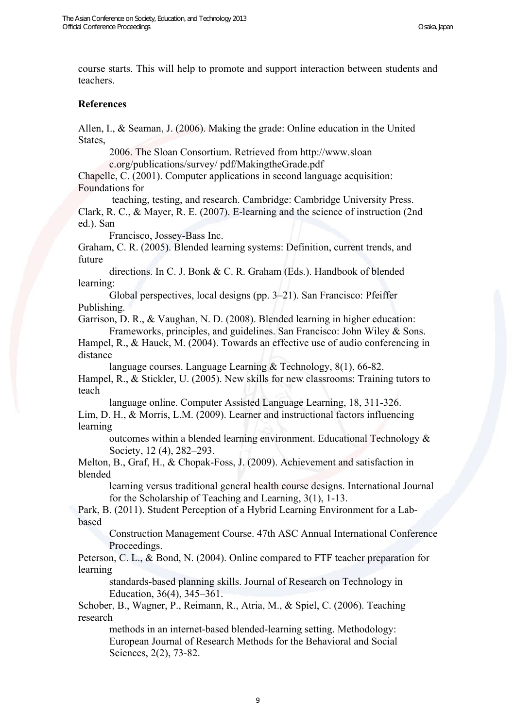course starts. This will help to promote and support interaction between students and teachers.

#### **References**

Allen, I., & Seaman, J. (2006). Making the grade: Online education in the United States,

2006. The Sloan Consortium. Retrieved from http://www.sloan c.org/publications/survey/ pdf/MakingtheGrade.pdf

Chapelle, C. (2001). Computer applications in second language acquisition: Foundations for

 teaching, testing, and research. Cambridge: Cambridge University Press. Clark, R. C., & Mayer, R. E. (2007). E-learning and the science of instruction (2nd ed.). San

Francisco, Jossey-Bass Inc.

Graham, C. R. (2005). Blended learning systems: Definition, current trends, and future

directions. In C. J. Bonk & C. R. Graham (Eds.). Handbook of blended learning:

Global perspectives, local designs (pp. 3–21). San Francisco: Pfeiffer Publishing.

Garrison, D. R., & Vaughan, N. D. (2008). Blended learning in higher education: Frameworks, principles, and guidelines. San Francisco: John Wiley & Sons.

Hampel, R., & Hauck, M. (2004). Towards an effective use of audio conferencing in distance

language courses. Language Learning & Technology, 8(1), 66-82. Hampel, R., & Stickler, U. (2005). New skills for new classrooms: Training tutors to teach

language online. Computer Assisted Language Learning, 18, 311-326. Lim, D. H., & Morris, L.M. (2009). Learner and instructional factors influencing learning

outcomes within a blended learning environment. Educational Technology & Society, 12 (4), 282–293.

Melton, B., Graf, H., & Chopak-Foss, J. (2009). Achievement and satisfaction in blended

learning versus traditional general health course designs. International Journal for the Scholarship of Teaching and Learning, 3(1), 1-13.

Park, B. (2011). Student Perception of a Hybrid Learning Environment for a Labbased

Construction Management Course. 47th ASC Annual International Conference Proceedings.

Peterson, C. L., & Bond, N. (2004). Online compared to FTF teacher preparation for learning

standards-based planning skills. Journal of Research on Technology in Education, 36(4), 345–361.

Schober, B., Wagner, P., Reimann, R., Atria, M., & Spiel, C. (2006). Teaching research

methods in an internet-based blended-learning setting. Methodology: European Journal of Research Methods for the Behavioral and Social Sciences, 2(2), 73-82.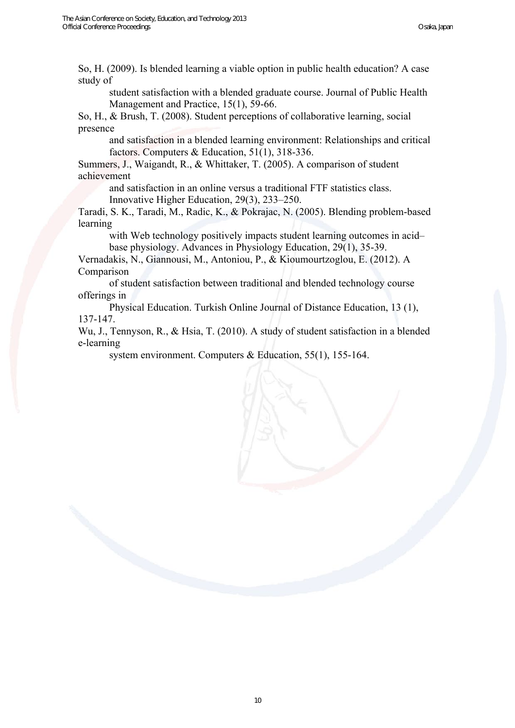So, H. (2009). Is blended learning a viable option in public health education? A case study of

student satisfaction with a blended graduate course. Journal of Public Health Management and Practice, 15(1), 59-66.

So, H., & Brush, T. (2008). Student perceptions of collaborative learning, social presence

and satisfaction in a blended learning environment: Relationships and critical factors. Computers & Education, 51(1), 318-336.

Summers, J., Waigandt, R., & Whittaker, T. (2005). A comparison of student achievement

and satisfaction in an online versus a traditional FTF statistics class. Innovative Higher Education, 29(3), 233–250.

Taradi, S. K., Taradi, M., Radic, K., & Pokrajac, N. (2005). Blending problem-based learning

with Web technology positively impacts student learning outcomes in acid– base physiology. Advances in Physiology Education, 29(1), 35-39.

Vernadakis, N., Giannousi, M., Antoniou, P., & Kioumourtzoglou, E. (2012). A Comparison

of student satisfaction between traditional and blended technology course offerings in

Physical Education. Turkish Online Journal of Distance Education, 13 (1), 137-147.

Wu, J., Tennyson, R., & Hsia, T. (2010). A study of student satisfaction in a blended e-learning

system environment. Computers & Education, 55(1), 155-164.